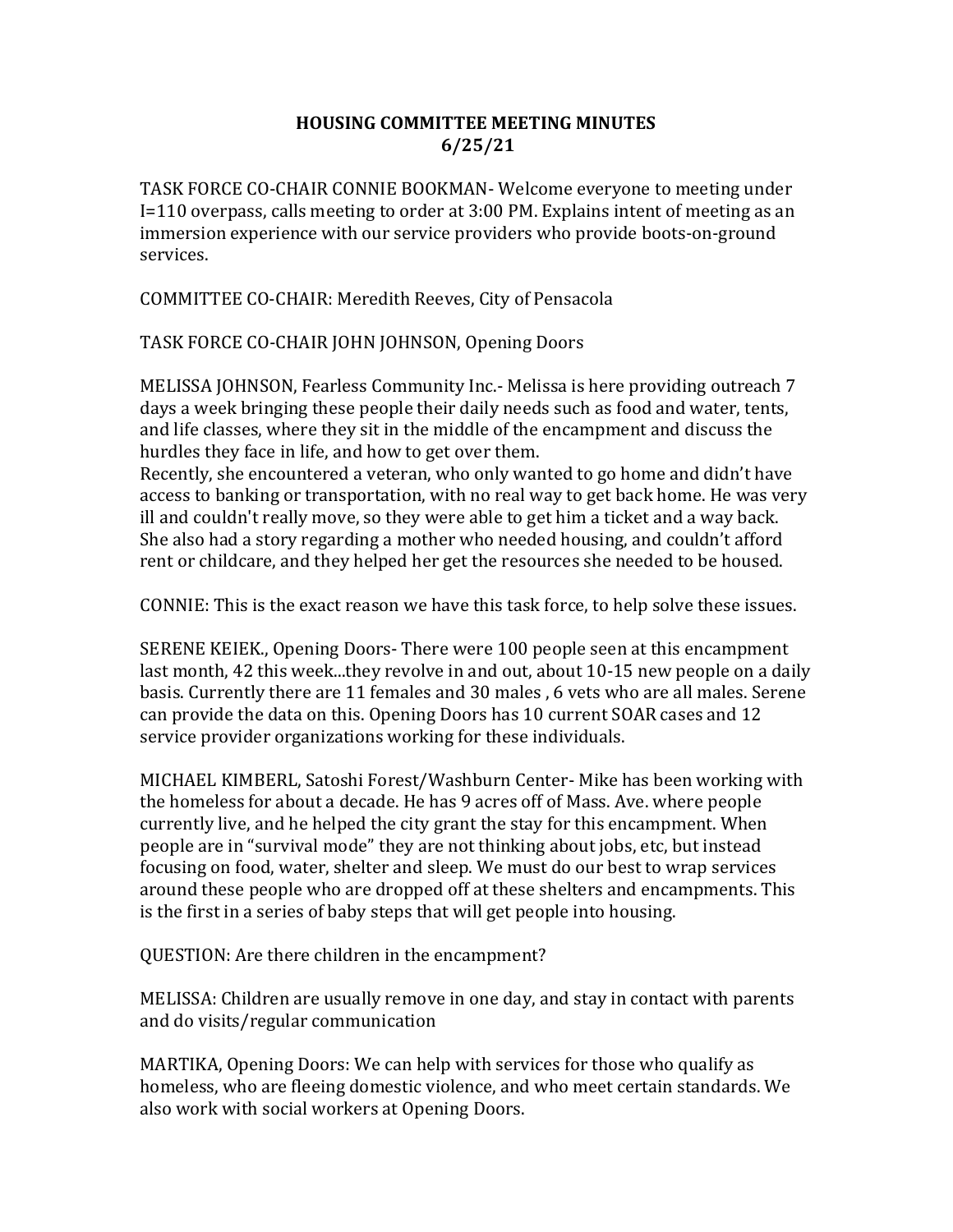## HOUSING COMMITTEE MEETING MINUTES 6/25/21

TASK FORCE CO-CHAIR CONNIE BOOKMAN- Welcome everyone to meeting under I=110 overpass, calls meeting to order at 3:00 PM. Explains intent of meeting as an immersion experience with our service providers who provide boots-on-ground services.

COMMITTEE CO-CHAIR: Meredith Reeves, City of Pensacola

TASK FORCE CO-CHAIR JOHN JOHNSON, Opening Doors

MELISSA JOHNSON, Fearless Community Inc.- Melissa is here providing outreach 7 days a week bringing these people their daily needs such as food and water, tents, and life classes, where they sit in the middle of the encampment and discuss the hurdles they face in life, and how to get over them.

Recently, she encountered a veteran, who only wanted to go home and didn't have access to banking or transportation, with no real way to get back home. He was very ill and couldn't really move, so they were able to get him a ticket and a way back. She also had a story regarding a mother who needed housing, and couldn't afford rent or childcare, and they helped her get the resources she needed to be housed.

CONNIE: This is the exact reason we have this task force, to help solve these issues.

SERENE KEIEK., Opening Doors- There were 100 people seen at this encampment last month, 42 this week...they revolve in and out, about 10-15 new people on a daily basis. Currently there are 11 females and 30 males , 6 vets who are all males. Serene can provide the data on this. Opening Doors has 10 current SOAR cases and 12 service provider organizations working for these individuals.

MICHAEL KIMBERL, Satoshi Forest/Washburn Center- Mike has been working with the homeless for about a decade. He has 9 acres off of Mass. Ave. where people currently live, and he helped the city grant the stay for this encampment. When people are in "survival mode" they are not thinking about jobs, etc, but instead focusing on food, water, shelter and sleep. We must do our best to wrap services around these people who are dropped off at these shelters and encampments. This is the first in a series of baby steps that will get people into housing.

QUESTION: Are there children in the encampment?

MELISSA: Children are usually remove in one day, and stay in contact with parents and do visits/regular communication

MARTIKA, Opening Doors: We can help with services for those who qualify as homeless, who are fleeing domestic violence, and who meet certain standards. We also work with social workers at Opening Doors.